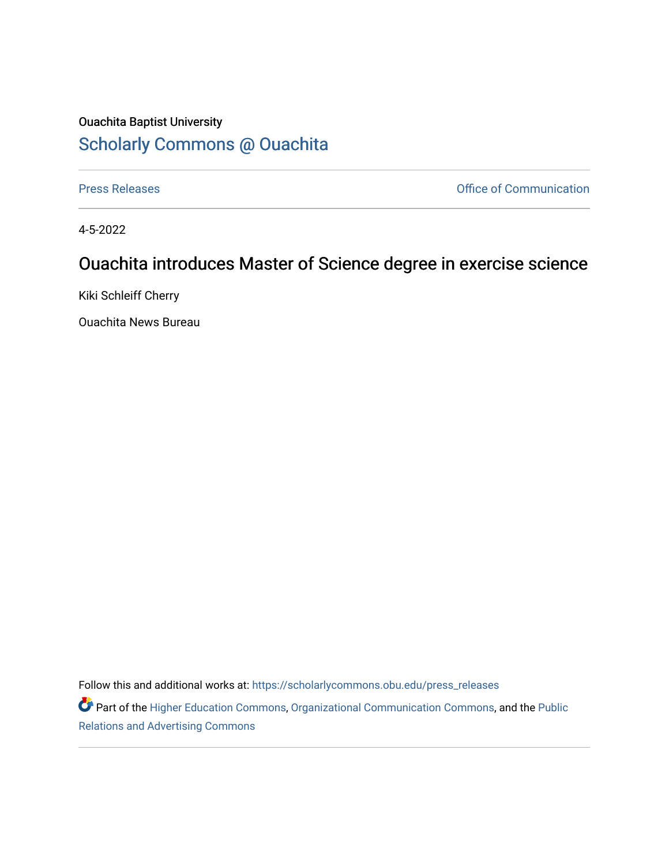## Ouachita Baptist University [Scholarly Commons @ Ouachita](https://scholarlycommons.obu.edu/)

[Press Releases](https://scholarlycommons.obu.edu/press_releases) **Press Releases Communication** 

4-5-2022

## Ouachita introduces Master of Science degree in exercise science

Kiki Schleiff Cherry

Ouachita News Bureau

Follow this and additional works at: [https://scholarlycommons.obu.edu/press\\_releases](https://scholarlycommons.obu.edu/press_releases?utm_source=scholarlycommons.obu.edu%2Fpress_releases%2F1077&utm_medium=PDF&utm_campaign=PDFCoverPages)

Part of the [Higher Education Commons,](http://network.bepress.com/hgg/discipline/1245?utm_source=scholarlycommons.obu.edu%2Fpress_releases%2F1077&utm_medium=PDF&utm_campaign=PDFCoverPages) [Organizational Communication Commons,](http://network.bepress.com/hgg/discipline/335?utm_source=scholarlycommons.obu.edu%2Fpress_releases%2F1077&utm_medium=PDF&utm_campaign=PDFCoverPages) and the [Public](http://network.bepress.com/hgg/discipline/336?utm_source=scholarlycommons.obu.edu%2Fpress_releases%2F1077&utm_medium=PDF&utm_campaign=PDFCoverPages) [Relations and Advertising Commons](http://network.bepress.com/hgg/discipline/336?utm_source=scholarlycommons.obu.edu%2Fpress_releases%2F1077&utm_medium=PDF&utm_campaign=PDFCoverPages)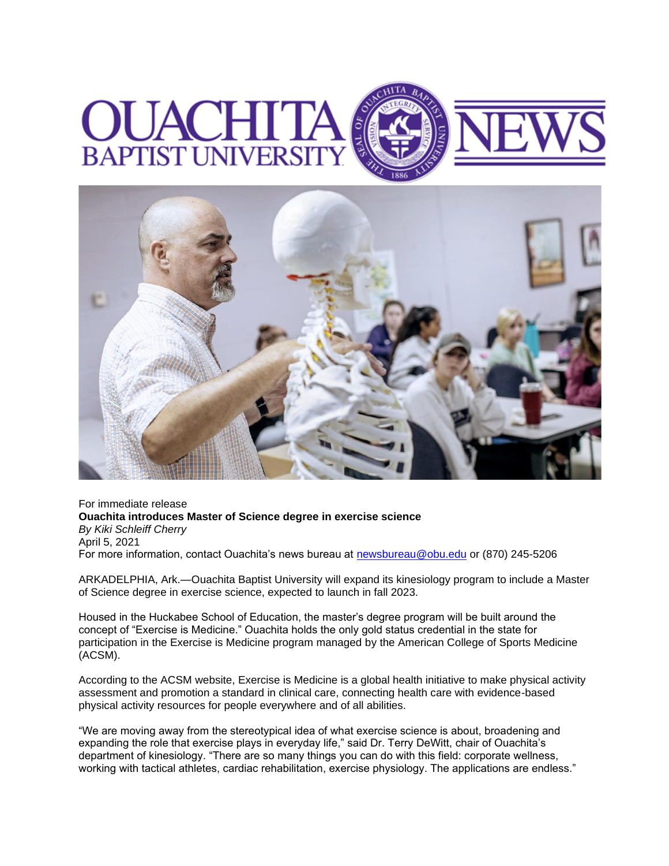## **UNI BAPTIST** ERS



For immediate release **Ouachita introduces Master of Science degree in exercise science** *By Kiki Schleiff Cherry* April 5, 2021 For more information, contact Ouachita's news bureau at [newsbureau@obu.edu](mailto:newsbureau@obu.edu) or (870) 245-5206

ARKADELPHIA, Ark.—Ouachita Baptist University will expand its kinesiology program to include a Master of Science degree in exercise science, expected to launch in fall 2023.

Housed in the Huckabee School of Education, the master's degree program will be built around the concept of "Exercise is Medicine." Ouachita holds the only gold status credential in the state for participation in the Exercise is Medicine program managed by the American College of Sports Medicine (ACSM).

According to the ACSM website, Exercise is Medicine is a global health initiative to make physical activity assessment and promotion a standard in clinical care, connecting health care with evidence-based physical activity resources for people everywhere and of all abilities.

"We are moving away from the stereotypical idea of what exercise science is about, broadening and expanding the role that exercise plays in everyday life," said Dr. Terry DeWitt, chair of Ouachita's department of kinesiology. "There are so many things you can do with this field: corporate wellness, working with tactical athletes, cardiac rehabilitation, exercise physiology. The applications are endless."